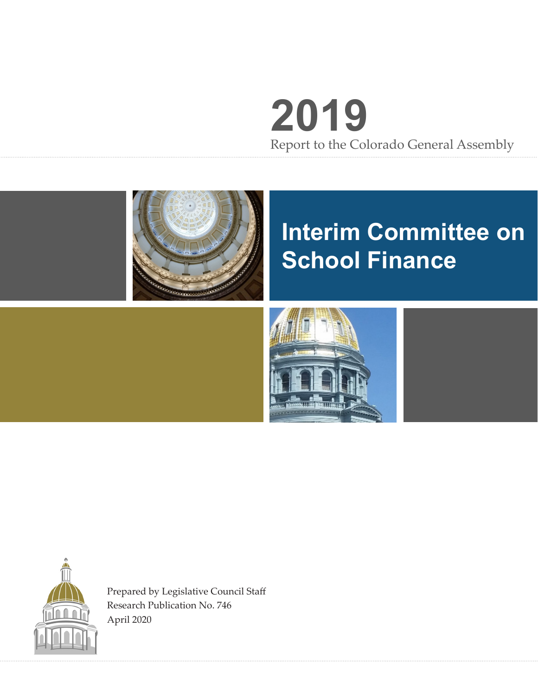# **2019** Report to the Colorado General Assembly



## **Interim Committee on School Finance**





Prepared by Legislative Council Staff Research Publication No. 746 April 2020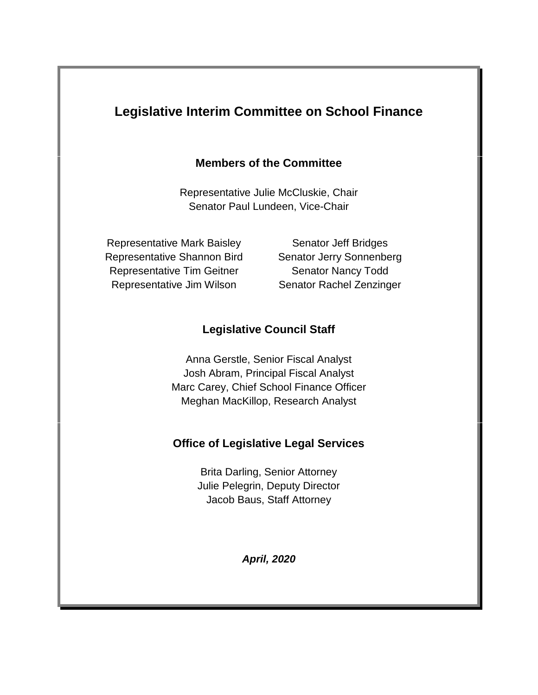## **Legislative Interim Committee on School Finance**

#### **Members of the Committee**

Representative Julie McCluskie, Chair Senator Paul Lundeen, Vice-Chair

Representative Mark Baisley Senator Jeff Bridges Representative Shannon Bird Senator Jerry Sonnenberg Representative Tim Geitner Senator Nancy Todd Representative Jim Wilson Senator Rachel Zenzinger

## **Legislative Council Staff**

Anna Gerstle, Senior Fiscal Analyst Josh Abram, Principal Fiscal Analyst Marc Carey, Chief School Finance Officer Meghan MacKillop, Research Analyst

#### **Office of Legislative Legal Services**

Brita Darling, Senior Attorney Julie Pelegrin, Deputy Director Jacob Baus, Staff Attorney

*April, 2020*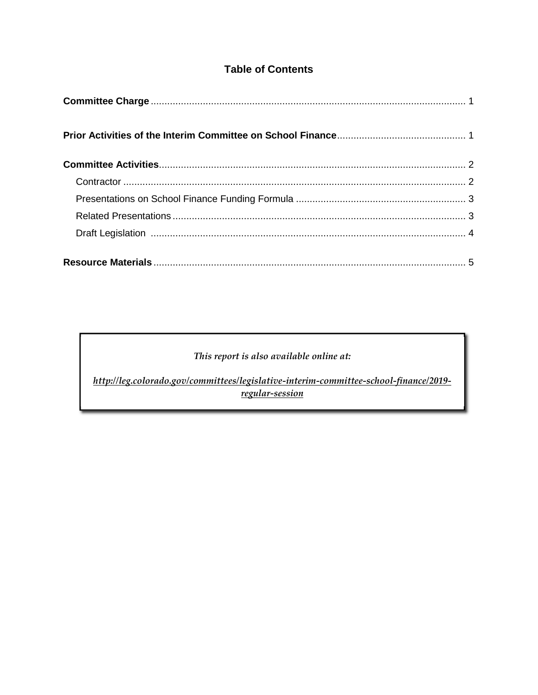### **Table of Contents**

#### This report is also available online at:

http://leg.colorado.gov/committees/legislative-interim-committee-school-finance/2019regular-session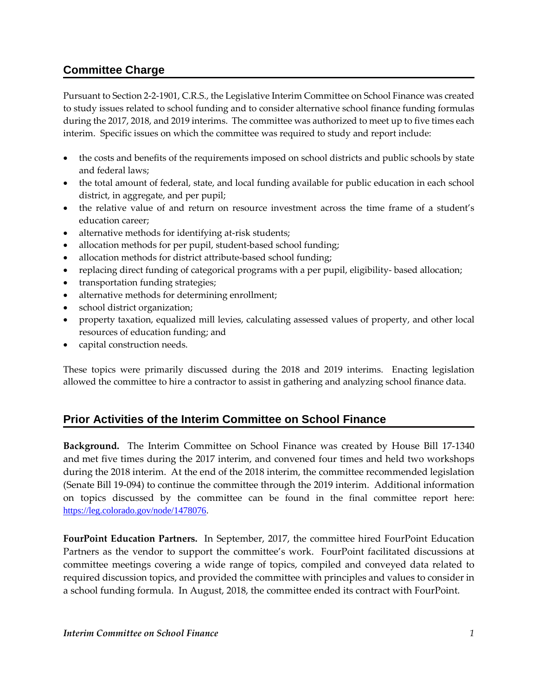### **Committee Charge**

Pursuant to Section 2-2-1901, C.R.S., the Legislative Interim Committee on School Finance was created to study issues related to school funding and to consider alternative school finance funding formulas during the 2017, 2018, and 2019 interims. The committee was authorized to meet up to five times each interim. Specific issues on which the committee was required to study and report include:

- the costs and benefits of the requirements imposed on school districts and public schools by state and federal laws;
- the total amount of federal, state, and local funding available for public education in each school district, in aggregate, and per pupil;
- the relative value of and return on resource investment across the time frame of a student's education career;
- alternative methods for identifying at-risk students;
- allocation methods for per pupil, student-based school funding;
- allocation methods for district attribute-based school funding;
- replacing direct funding of categorical programs with a per pupil, eligibility-based allocation;
- transportation funding strategies;
- alternative methods for determining enrollment;
- school district organization;
- property taxation, equalized mill levies, calculating assessed values of property, and other local resources of education funding; and
- capital construction needs.

These topics were primarily discussed during the 2018 and 2019 interims. Enacting legislation allowed the committee to hire a contractor to assist in gathering and analyzing school finance data.

#### **Prior Activities of the Interim Committee on School Finance**

**Background.** The Interim Committee on School Finance was created by House Bill 17-1340 and met five times during the 2017 interim, and convened four times and held two workshops during the 2018 interim. At the end of the 2018 interim, the committee recommended legislation (Senate Bill 19-094) to continue the committee through the 2019 interim. Additional information on topics discussed by the committee can be found in the final committee report here: https://leg.colorado.gov/node/1478076.

**FourPoint Education Partners.** In September, 2017, the committee hired FourPoint Education Partners as the vendor to support the committee's work. FourPoint facilitated discussions at committee meetings covering a wide range of topics, compiled and conveyed data related to required discussion topics, and provided the committee with principles and values to consider in a school funding formula. In August, 2018, the committee ended its contract with FourPoint.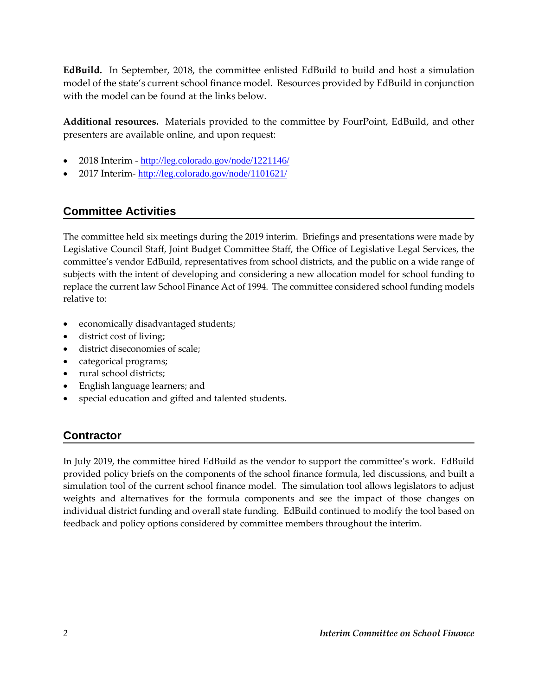**EdBuild.** In September, 2018, the committee enlisted EdBuild to build and host a simulation model of the state's current school finance model. Resources provided by EdBuild in conjunction with the model can be found at the links below.

**Additional resources.** Materials provided to the committee by FourPoint, EdBuild, and other presenters are available online, and upon request:

- 2018 Interim http://leg.colorado.gov/node/1221146/
- 2017 Interim- http://leg.colorado.gov/node/1101621/

#### **Committee Activities**

The committee held six meetings during the 2019 interim. Briefings and presentations were made by Legislative Council Staff, Joint Budget Committee Staff, the Office of Legislative Legal Services, the committee's vendor EdBuild, representatives from school districts, and the public on a wide range of subjects with the intent of developing and considering a new allocation model for school funding to replace the current law School Finance Act of 1994. The committee considered school funding models relative to:

- economically disadvantaged students;
- district cost of living;
- district diseconomies of scale;
- categorical programs;
- rural school districts:
- English language learners; and
- special education and gifted and talented students.

#### **Contractor**

In July 2019, the committee hired EdBuild as the vendor to support the committee's work. EdBuild provided policy briefs on the components of the school finance formula, led discussions, and built a simulation tool of the current school finance model. The simulation tool allows legislators to adjust weights and alternatives for the formula components and see the impact of those changes on individual district funding and overall state funding. EdBuild continued to modify the tool based on feedback and policy options considered by committee members throughout the interim.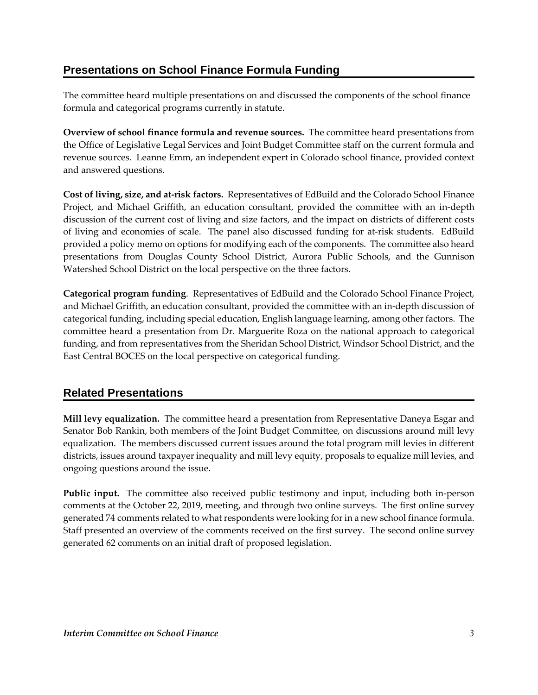### **Presentations on School Finance Formula Funding**

The committee heard multiple presentations on and discussed the components of the school finance formula and categorical programs currently in statute.

**Overview of school finance formula and revenue sources.** The committee heard presentations from the Office of Legislative Legal Services and Joint Budget Committee staff on the current formula and revenue sources. Leanne Emm, an independent expert in Colorado school finance, provided context and answered questions.

**Cost of living, size, and at-risk factors.** Representatives of EdBuild and the Colorado School Finance Project, and Michael Griffith, an education consultant, provided the committee with an in-depth discussion of the current cost of living and size factors, and the impact on districts of different costs of living and economies of scale. The panel also discussed funding for at-risk students. EdBuild provided a policy memo on options for modifying each of the components. The committee also heard presentations from Douglas County School District, Aurora Public Schools, and the Gunnison Watershed School District on the local perspective on the three factors.

**Categorical program funding**. Representatives of EdBuild and the Colorado School Finance Project, and Michael Griffith, an education consultant, provided the committee with an in-depth discussion of categorical funding, including special education, English language learning, among other factors. The committee heard a presentation from Dr. Marguerite Roza on the national approach to categorical funding, and from representatives from the Sheridan School District, Windsor School District, and the East Central BOCES on the local perspective on categorical funding.

#### **Related Presentations**

**Mill levy equalization.** The committee heard a presentation from Representative Daneya Esgar and Senator Bob Rankin, both members of the Joint Budget Committee, on discussions around mill levy equalization. The members discussed current issues around the total program mill levies in different districts, issues around taxpayer inequality and mill levy equity, proposals to equalize mill levies, and ongoing questions around the issue.

**Public input.** The committee also received public testimony and input, including both in-person comments at the October 22, 2019, meeting, and through two online surveys. The first online survey generated 74 comments related to what respondents were looking for in a new school finance formula. Staff presented an overview of the comments received on the first survey. The second online survey generated 62 comments on an initial draft of proposed legislation.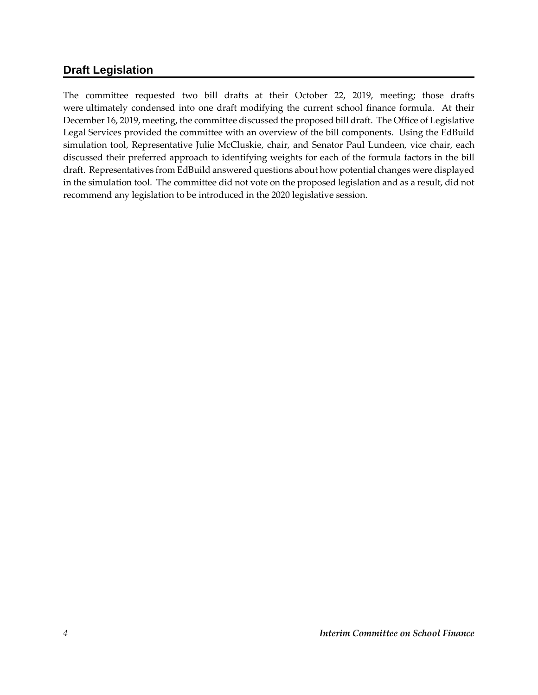#### **Draft Legislation**

The committee requested two bill drafts at their October 22, 2019, meeting; those drafts were ultimately condensed into one draft modifying the current school finance formula. At their December 16, 2019, meeting, the committee discussed the proposed bill draft. The Office of Legislative Legal Services provided the committee with an overview of the bill components. Using the EdBuild simulation tool, Representative Julie McCluskie, chair, and Senator Paul Lundeen, vice chair, each discussed their preferred approach to identifying weights for each of the formula factors in the bill draft. Representatives from EdBuild answered questions about how potential changes were displayed in the simulation tool. The committee did not vote on the proposed legislation and as a result, did not recommend any legislation to be introduced in the 2020 legislative session.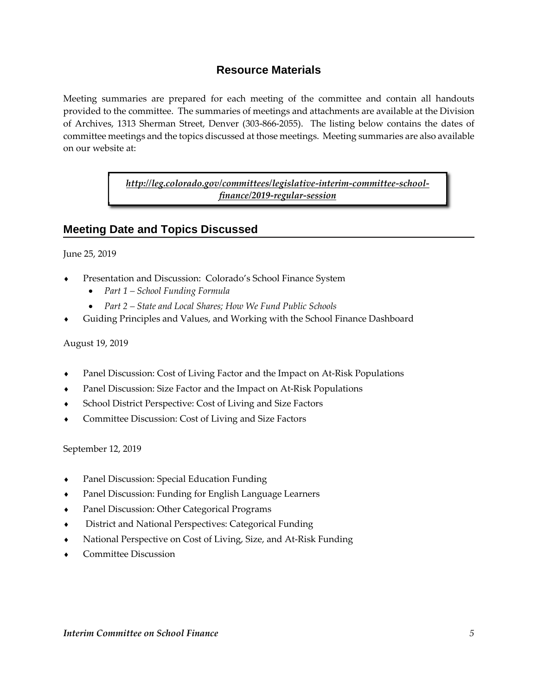#### **Resource Materials**

Meeting summaries are prepared for each meeting of the committee and contain all handouts provided to the committee. The summaries of meetings and attachments are available at the Division of Archives, 1313 Sherman Street, Denver (303-866-2055). The listing below contains the dates of committee meetings and the topics discussed at those meetings. Meeting summaries are also available on our website at:

> *http://leg.colorado.gov/committees/legislative-interim-committee-schoolfinance/2019-regular-session*

#### **Meeting Date and Topics Discussed**

June 25, 2019

- Presentation and Discussion: Colorado's School Finance System
	- *Part 1 School Funding Formula*
	- *Part 2 State and Local Shares; How We Fund Public Schools*
- Guiding Principles and Values, and Working with the School Finance Dashboard

#### August 19, 2019

- Panel Discussion: Cost of Living Factor and the Impact on At-Risk Populations
- Panel Discussion: Size Factor and the Impact on At-Risk Populations
- School District Perspective: Cost of Living and Size Factors
- Committee Discussion: Cost of Living and Size Factors

September 12, 2019

- Panel Discussion: Special Education Funding
- Panel Discussion: Funding for English Language Learners
- Panel Discussion: Other Categorical Programs
- District and National Perspectives: Categorical Funding
- National Perspective on Cost of Living, Size, and At-Risk Funding
- Committee Discussion